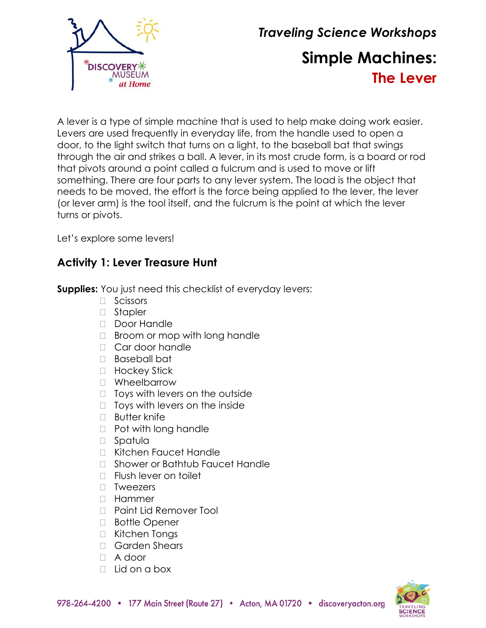

# *Traveling Science Workshops* **Simple Machines: The Lever**

A lever is a type of simple machine that is used to help make doing work easier. Levers are used frequently in everyday life, from the handle used to open a door, to the light switch that turns on a light, to the baseball bat that swings through the air and strikes a ball. A lever, in its most crude form, is a board or rod that pivots around a point called a fulcrum and is used to move or lift something. There are four parts to any lever system. The load is the object that needs to be moved, the effort is the force being applied to the lever, the lever (or lever arm) is the tool itself, and the fulcrum is the point at which the lever turns or pivots.

Let's explore some levers!

# **Activity 1: Lever Treasure Hunt**

**Supplies:** You just need this checklist of everyday levers:

- □ Scissors
- □ Stapler
- □ Door Handle
- $\Box$  Broom or mop with long handle
- □ Car door handle
- Baseball bat
- □ Hockey Stick
- □ Wheelbarrow
- $\Box$  Toys with levers on the outside
- $\Box$  Toys with levers on the inside
- $\Box$  Butter knife
- D Pot with long handle
- □ Spatula
- Kitchen Faucet Handle
- □ Shower or Bathtub Faucet Handle
- $\Box$  Flush lever on toilet
- **D** Tweezers
- Hammer
- □ Paint Lid Remover Tool
- □ Bottle Opener
- □ Kitchen Tongs
- □ Garden Shears
- A door
- $\Box$  Lid on a box

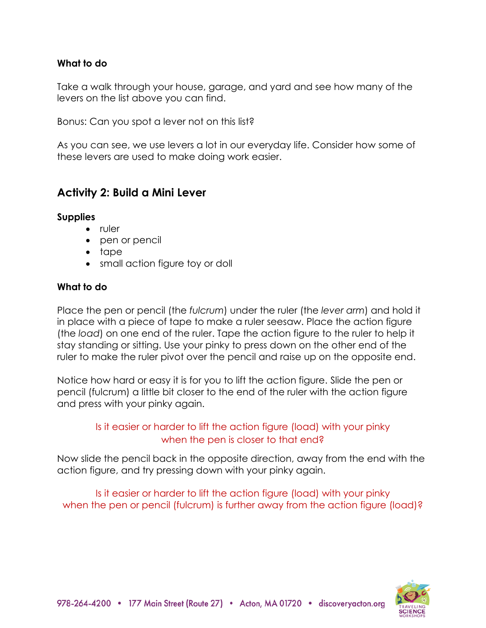#### **What to do**

Take a walk through your house, garage, and yard and see how many of the levers on the list above you can find.

Bonus: Can you spot a lever not on this list?

As you can see, we use levers a lot in our everyday life. Consider how some of these levers are used to make doing work easier.

# **Activity 2: Build a Mini Lever**

#### **Supplies**

- ruler
- pen or pencil
- tape
- small action figure toy or doll

#### **What to do**

Place the pen or pencil (the *fulcrum*) under the ruler (the *lever arm*) and hold it in place with a piece of tape to make a ruler seesaw. Place the action figure (the *load*) on one end of the ruler. Tape the action figure to the ruler to help it stay standing or sitting. Use your pinky to press down on the other end of the ruler to make the ruler pivot over the pencil and raise up on the opposite end.

Notice how hard or easy it is for you to lift the action figure. Slide the pen or pencil (fulcrum) a little bit closer to the end of the ruler with the action figure and press with your pinky again.

## Is it easier or harder to lift the action figure (load) with your pinky when the pen is closer to that end?

Now slide the pencil back in the opposite direction, away from the end with the action figure, and try pressing down with your pinky again.

Is it easier or harder to lift the action figure (load) with your pinky when the pen or pencil (fulcrum) is further away from the action figure (load)?

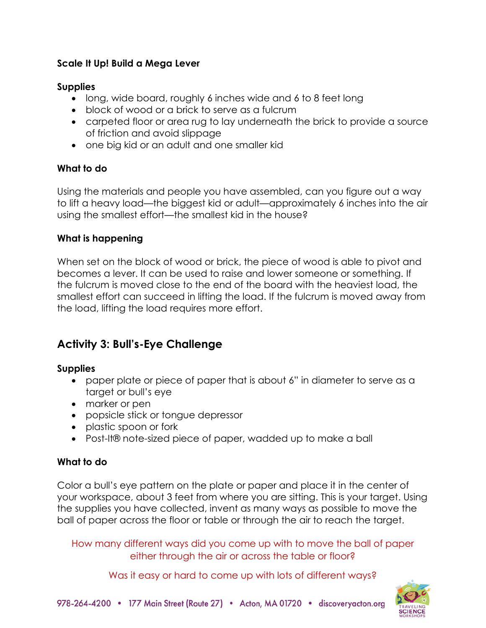## **Scale It Up! Build a Mega Lever**

#### **Supplies**

- long, wide board, roughly 6 inches wide and 6 to 8 feet long
- block of wood or a brick to serve as a fulcrum
- carpeted floor or area rug to lay underneath the brick to provide a source of friction and avoid slippage
- one big kid or an adult and one smaller kid

## **What to do**

Using the materials and people you have assembled, can you figure out a way to lift a heavy load—the biggest kid or adult—approximately 6 inches into the air using the smallest effort—the smallest kid in the house?

## **What is happening**

When set on the block of wood or brick, the piece of wood is able to pivot and becomes a lever. It can be used to raise and lower someone or something. If the fulcrum is moved close to the end of the board with the heaviest load, the smallest effort can succeed in lifting the load. If the fulcrum is moved away from the load, lifting the load requires more effort.

# **Activity 3: Bull's-Eye Challenge**

#### **Supplies**

- paper plate or piece of paper that is about 6" in diameter to serve as a target or bull's eye
- marker or pen
- popsicle stick or tongue depressor
- plastic spoon or fork
- Post-It® note-sized piece of paper, wadded up to make a ball

# **What to do**

Color a bull's eye pattern on the plate or paper and place it in the center of your workspace, about 3 feet from where you are sitting. This is your target. Using the supplies you have collected, invent as many ways as possible to move the ball of paper across the floor or table or through the air to reach the target.

How many different ways did you come up with to move the ball of paper either through the air or across the table or floor?

Was it easy or hard to come up with lots of different ways?

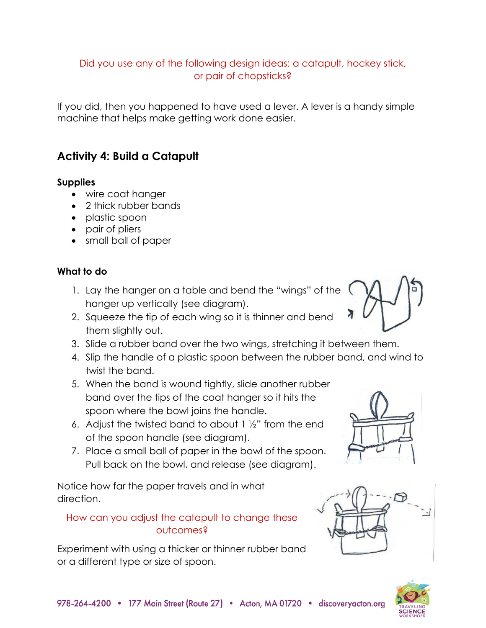# Did you use any of the following design ideas: a catapult, hockey stick, or pair of chopsticks?

If you did, then you happened to have used a lever. A lever is a handy simple machine that helps make getting work done easier.

# **Activity 4: Build a Catapult**

#### **Supplies**

- wire coat hanger
- 2 thick rubber bands
- plastic spoon
- pair of pliers
- small ball of paper

# **What to do**

- 1. Lay the hanger on a table and bend the "wings" of the hanger up vertically (see diagram).
- 2. Squeeze the tip of each wing so it is thinner and bend them slightly out.
- 3. Slide a rubber band over the two wings, stretching it between them.
- 4. Slip the handle of a plastic spoon between the rubber band, and wind to twist the band.
- 5. When the band is wound tightly, slide another rubber band over the tips of the coat hanger so it hits the spoon where the bowl joins the handle.
- 6. Adjust the twisted band to about 1 ½" from the end of the spoon handle (see diagram).
- 7. Place a small ball of paper in the bowl of the spoon. Pull back on the bowl, and release (see diagram).

Notice how far the paper travels and in what direction.

# How can you adjust the catapult to change these outcomes?

Experiment with using a thicker or thinner rubber band or a different type or size of spoon.







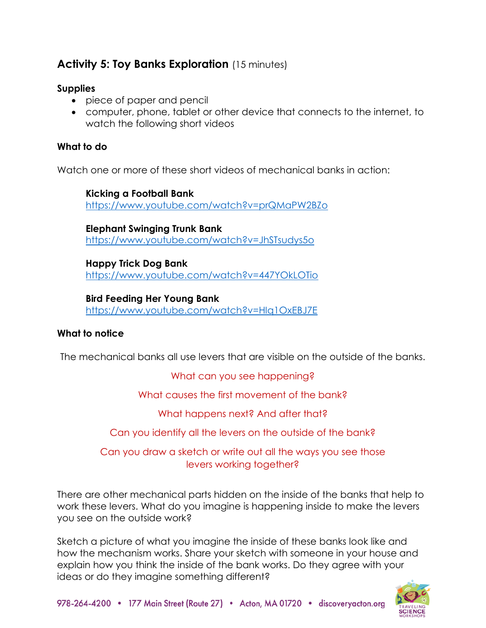# **Activity 5: Toy Banks Exploration** (15 minutes)

#### **Supplies**

- piece of paper and pencil
- computer, phone, tablet or other device that connects to the internet, to watch the following short videos

## **What to do**

Watch one or more of these short videos of mechanical banks in action:

**Kicking a Football Bank** <https://www.youtube.com/watch?v=prQMaPW2BZo>

**Elephant Swinging Trunk Bank** <https://www.youtube.com/watch?v=JhSTsudys5o>

**Happy Trick Dog Bank** <https://www.youtube.com/watch?v=447YOkLOTio>

**Bird Feeding Her Young Bank** <https://www.youtube.com/watch?v=HIq1OxEBJ7E>

# **What to notice**

The mechanical banks all use levers that are visible on the outside of the banks.

What can you see happening?

What causes the first movement of the bank?

What happens next? And after that?

Can you identify all the levers on the outside of the bank?

Can you draw a sketch or write out all the ways you see those levers working together?

There are other mechanical parts hidden on the inside of the banks that help to work these levers. What do you imagine is happening inside to make the levers you see on the outside work?

Sketch a picture of what you imagine the inside of these banks look like and how the mechanism works. Share your sketch with someone in your house and explain how you think the inside of the bank works. Do they agree with your ideas or do they imagine something different?

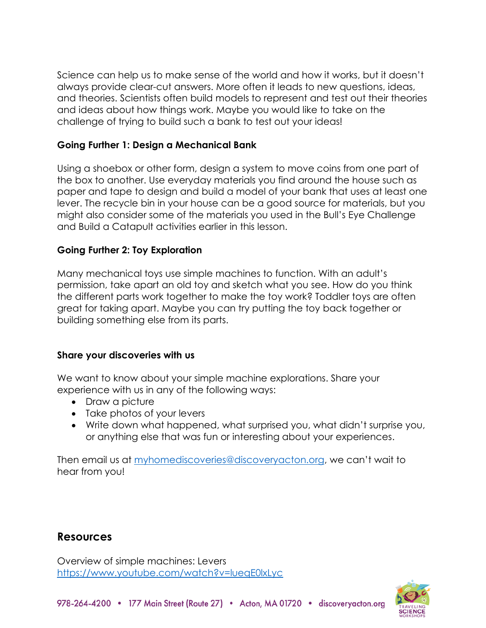Science can help us to make sense of the world and how it works, but it doesn't always provide clear-cut answers. More often it leads to new questions, ideas, and theories. Scientists often build models to represent and test out their theories and ideas about how things work. Maybe you would like to take on the challenge of trying to build such a bank to test out your ideas!

#### **Going Further 1: Design a Mechanical Bank**

Using a shoebox or other form, design a system to move coins from one part of the box to another. Use everyday materials you find around the house such as paper and tape to design and build a model of your bank that uses at least one lever. The recycle bin in your house can be a good source for materials, but you might also consider some of the materials you used in the Bull's Eye Challenge and Build a Catapult activities earlier in this lesson.

#### **Going Further 2: Toy Exploration**

Many mechanical toys use simple machines to function. With an adult's permission, take apart an old toy and sketch what you see. How do you think the different parts work together to make the toy work? Toddler toys are often great for taking apart. Maybe you can try putting the toy back together or building something else from its parts.

#### **Share your discoveries with us**

We want to know about your simple machine explorations. Share your experience with us in any of the following ways:

- Draw a picture
- Take photos of your levers
- Write down what happened, what surprised you, what didn't surprise you, or anything else that was fun or interesting about your experiences.

Then email us at [myhomediscoveries@discoveryacton.org](mailto:myhomediscoveries@discoveryacton.org), we can't wait to hear from you!

# **Resources**

Overview of simple machines: Levers <https://www.youtube.com/watch?v=lueqE0lxLyc>